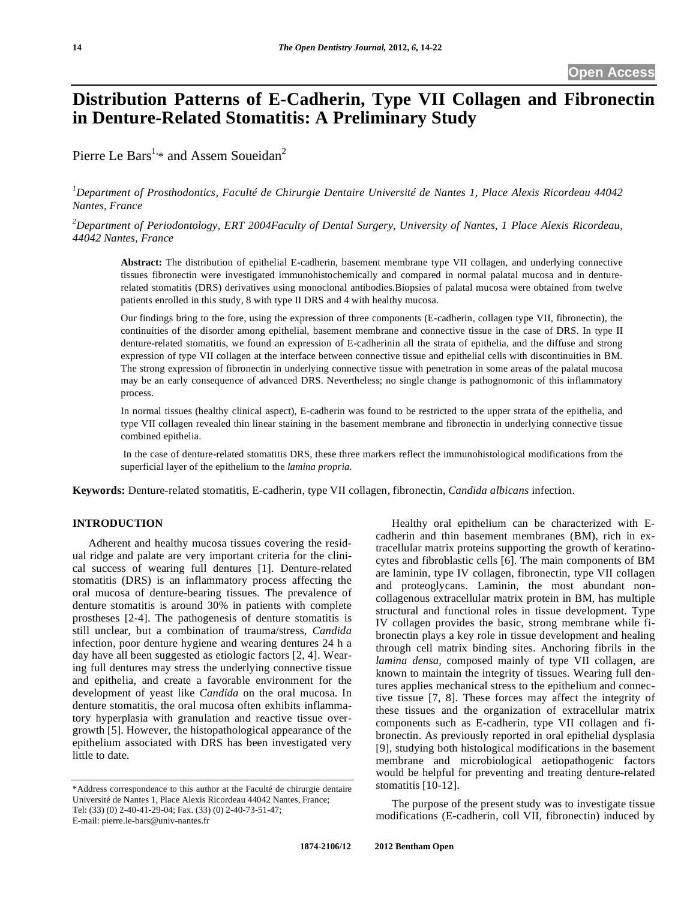# **Distribution Patterns of E-Cadherin, Type VII Collagen and Fibronectin in Denture-Related Stomatitis: A Preliminary Study**

Pierre Le Bars<sup>1,\*</sup> and Assem Soueidan<sup>2</sup>

*1 Department of Prosthodontics, Faculté de Chirurgie Dentaire Université de Nantes 1, Place Alexis Ricordeau 44042 Nantes, France*

*2 Department of Periodontology, ERT 2004Faculty of Dental Surgery, University of Nantes, 1 Place Alexis Ricordeau, 44042 Nantes, France* 

**Abstract:** The distribution of epithelial E-cadherin, basement membrane type VII collagen, and underlying connective tissues fibronectin were investigated immunohistochemically and compared in normal palatal mucosa and in denturerelated stomatitis (DRS) derivatives using monoclonal antibodies.Biopsies of palatal mucosa were obtained from twelve patients enrolled in this study, 8 with type II DRS and 4 with healthy mucosa.

Our findings bring to the fore, using the expression of three components (E-cadherin, collagen type VII, fibronectin), the continuities of the disorder among epithelial, basement membrane and connective tissue in the case of DRS. In type II denture-related stomatitis, we found an expression of E-cadherinin all the strata of epithelia, and the diffuse and strong expression of type VII collagen at the interface between connective tissue and epithelial cells with discontinuities in BM. The strong expression of fibronectin in underlying connective tissue with penetration in some areas of the palatal mucosa may be an early consequence of advanced DRS. Nevertheless; no single change is pathognomonic of this inflammatory process.

In normal tissues (healthy clinical aspect), E-cadherin was found to be restricted to the upper strata of the epithelia, and type VII collagen revealed thin linear staining in the basement membrane and fibronectin in underlying connective tissue combined epithelia.

 In the case of denture-related stomatitis DRS, these three markers reflect the immunohistological modifications from the superficial layer of the epithelium to the *lamina propria.*

**Keywords:** Denture-related stomatitis, E-cadherin, type VII collagen, fibronectin, *Candida albicans* infection.

# **INTRODUCTION**

Adherent and healthy mucosa tissues covering the residual ridge and palate are very important criteria for the clinical success of wearing full dentures [1]. Denture-related stomatitis (DRS) is an inflammatory process affecting the oral mucosa of denture-bearing tissues. The prevalence of denture stomatitis is around 30% in patients with complete prostheses [2-4]. The pathogenesis of denture stomatitis is still unclear, but a combination of trauma/stress, *Candida*  infection, poor denture hygiene and wearing dentures 24 h a day have all been suggested as etiologic factors [2, 4]. Wearing full dentures may stress the underlying connective tissue and epithelia, and create a favorable environment for the development of yeast like *Candida* on the oral mucosa. In denture stomatitis, the oral mucosa often exhibits inflammatory hyperplasia with granulation and reactive tissue overgrowth [5]. However, the histopathological appearance of the epithelium associated with DRS has been investigated very little to date.

Healthy oral epithelium can be characterized with Ecadherin and thin basement membranes (BM), rich in extracellular matrix proteins supporting the growth of keratinocytes and fibroblastic cells [6]. The main components of BM are laminin, type IV collagen, fibronectin, type VII collagen and proteoglycans. Laminin, the most abundant noncollagenous extracellular matrix protein in BM, has multiple structural and functional roles in tissue development. Type IV collagen provides the basic, strong membrane while fibronectin plays a key role in tissue development and healing through cell matrix binding sites. Anchoring fibrils in the *lamina densa*, composed mainly of type VII collagen, are known to maintain the integrity of tissues. Wearing full dentures applies mechanical stress to the epithelium and connective tissue [7, 8]. These forces may affect the integrity of these tissues and the organization of extracellular matrix components such as E-cadherin, type VII collagen and fibronectin. As previously reported in oral epithelial dysplasia [9], studying both histological modifications in the basement membrane and microbiological aetiopathogenic factors would be helpful for preventing and treating denture-related stomatitis [10-12].

The purpose of the present study was to investigate tissue modifications (E-cadherin, coll VII, fibronectin) induced by

<sup>\*</sup>Address correspondence to this author at the Faculté de chirurgie dentaire Université de Nantes 1, Place Alexis Ricordeau 44042 Nantes, France; Tel: (33) (0) 2-40-41-29-04; Fax. (33) (0) 2-40-73-51-47; E-mail: pierre.le-bars@univ-nantes.fr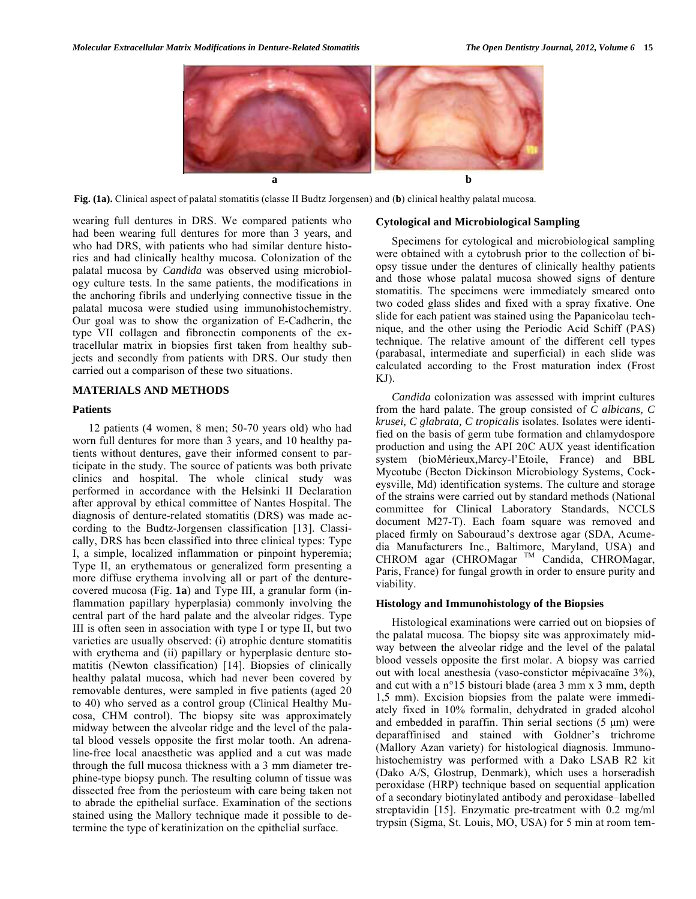

**Fig. (1a).** Clinical aspect of palatal stomatitis (classe II Budtz Jorgensen) and (**b**) clinical healthy palatal mucosa.

wearing full dentures in DRS. We compared patients who had been wearing full dentures for more than 3 years, and who had DRS, with patients who had similar denture histories and had clinically healthy mucosa. Colonization of the palatal mucosa by *Candida* was observed using microbiology culture tests. In the same patients, the modifications in the anchoring fibrils and underlying connective tissue in the palatal mucosa were studied using immunohistochemistry. Our goal was to show the organization of E-Cadherin, the type VII collagen and fibronectin components of the extracellular matrix in biopsies first taken from healthy subjects and secondly from patients with DRS. Our study then carried out a comparison of these two situations.

#### **MATERIALS AND METHODS**

#### **Patients**

12 patients (4 women, 8 men; 50-70 years old) who had worn full dentures for more than 3 years, and 10 healthy patients without dentures, gave their informed consent to participate in the study. The source of patients was both private clinics and hospital. The whole clinical study was performed in accordance with the Helsinki II Declaration after approval by ethical committee of Nantes Hospital. The diagnosis of denture-related stomatitis (DRS) was made according to the Budtz-Jorgensen classification [13]. Classically, DRS has been classified into three clinical types: Type I, a simple, localized inflammation or pinpoint hyperemia; Type II, an erythematous or generalized form presenting a more diffuse erythema involving all or part of the denturecovered mucosa (Fig. **1a**) and Type III, a granular form (inflammation papillary hyperplasia) commonly involving the central part of the hard palate and the alveolar ridges. Type III is often seen in association with type I or type II, but two varieties are usually observed: (i) atrophic denture stomatitis with erythema and (ii) papillary or hyperplasic denture stomatitis (Newton classification) [14]. Biopsies of clinically healthy palatal mucosa, which had never been covered by removable dentures, were sampled in five patients (aged 20 to 40) who served as a control group (Clinical Healthy Mucosa, CHM control). The biopsy site was approximately midway between the alveolar ridge and the level of the palatal blood vessels opposite the first molar tooth. An adrenaline-free local anaesthetic was applied and a cut was made through the full mucosa thickness with a 3 mm diameter trephine-type biopsy punch. The resulting column of tissue was dissected free from the periosteum with care being taken not to abrade the epithelial surface. Examination of the sections stained using the Mallory technique made it possible to determine the type of keratinization on the epithelial surface.

#### **Cytological and Microbiological Sampling**

Specimens for cytological and microbiological sampling were obtained with a cytobrush prior to the collection of biopsy tissue under the dentures of clinically healthy patients and those whose palatal mucosa showed signs of denture stomatitis. The specimens were immediately smeared onto two coded glass slides and fixed with a spray fixative. One slide for each patient was stained using the Papanicolau technique, and the other using the Periodic Acid Schiff (PAS) technique. The relative amount of the different cell types (parabasal, intermediate and superficial) in each slide was calculated according to the Frost maturation index (Frost KJ).

*Candida* colonization was assessed with imprint cultures from the hard palate. The group consisted of *C albicans, C krusei, C glabrata, C tropicalis* isolates. Isolates were identified on the basis of germ tube formation and chlamydospore production and using the API 20C AUX yeast identification system (bioMérieux,Marcy-l'Etoile, France) and BBL Mycotube (Becton Dickinson Microbiology Systems, Cockeysville, Md) identification systems. The culture and storage of the strains were carried out by standard methods (National committee for Clinical Laboratory Standards, NCCLS document M27-T). Each foam square was removed and placed firmly on Sabouraud's dextrose agar (SDA, Acumedia Manufacturers Inc., Baltimore, Maryland, USA) and CHROM agar (CHROMagar TM Candida, CHROMagar, Paris, France) for fungal growth in order to ensure purity and viability.

#### **Histology and Immunohistology of the Biopsies**

Histological examinations were carried out on biopsies of the palatal mucosa. The biopsy site was approximately midway between the alveolar ridge and the level of the palatal blood vessels opposite the first molar. A biopsy was carried out with local anesthesia (vaso-constictor mépivacaïne 3%), and cut with a n°15 bistouri blade (area 3 mm x 3 mm, depth 1,5 mm). Excision biopsies from the palate were immediately fixed in 10% formalin, dehydrated in graded alcohol and embedded in paraffin. Thin serial sections  $(5 \mu m)$  were deparaffinised and stained with Goldner's trichrome (Mallory Azan variety) for histological diagnosis. Immunohistochemistry was performed with a Dako LSAB R2 kit (Dako A/S, Glostrup, Denmark), which uses a horseradish peroxidase (HRP) technique based on sequential application of a secondary biotinylated antibody and peroxidase–labelled streptavidin [15]. Enzymatic pre-treatment with 0.2 mg/ml trypsin (Sigma, St. Louis, MO, USA) for 5 min at room tem-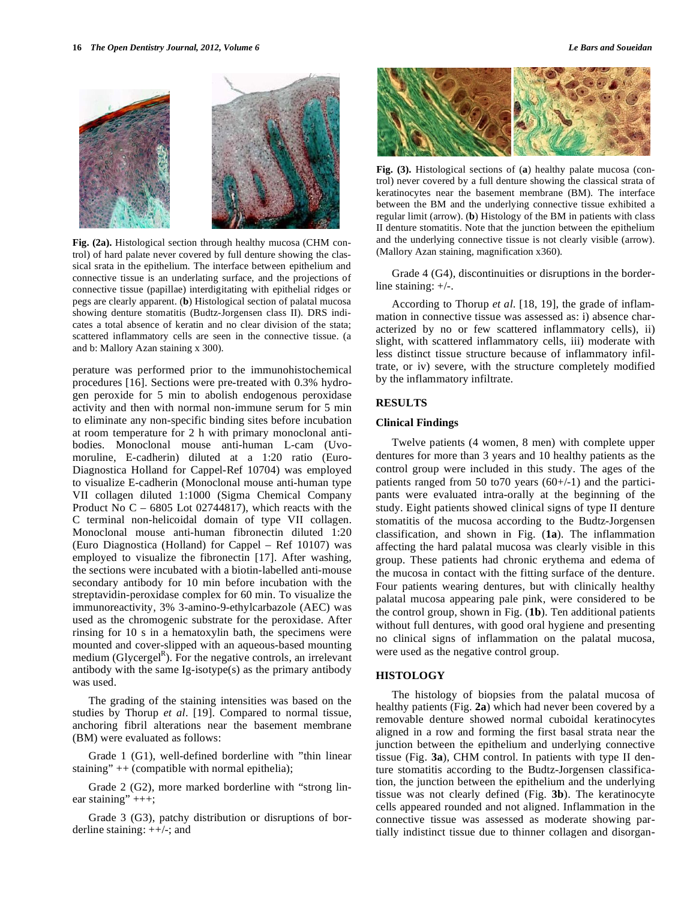

**Fig. (2a).** Histological section through healthy mucosa (CHM control) of hard palate never covered by full denture showing the classical srata in the epithelium. The interface between epithelium and connective tissue is an underlating surface, and the projections of connective tissue (papillae) interdigitating with epithelial ridges or pegs are clearly apparent. (**b**) Histological section of palatal mucosa showing denture stomatitis (Budtz-Jorgensen class II). DRS indicates a total absence of keratin and no clear division of the stata; scattered inflammatory cells are seen in the connective tissue. (a and b: Mallory Azan staining x 300).

perature was performed prior to the immunohistochemical procedures [16]. Sections were pre-treated with 0.3% hydrogen peroxide for 5 min to abolish endogenous peroxidase activity and then with normal non-immune serum for 5 min to eliminate any non-specific binding sites before incubation at room temperature for 2 h with primary monoclonal antibodies. Monoclonal mouse anti-human L-cam (Uvomoruline, E-cadherin) diluted at a 1:20 ratio (Euro-Diagnostica Holland for Cappel-Ref 10704) was employed to visualize E-cadherin (Monoclonal mouse anti-human type VII collagen diluted 1:1000 (Sigma Chemical Company Product No  $C - 6805$  Lot 02744817), which reacts with the C terminal non-helicoidal domain of type VII collagen. Monoclonal mouse anti-human fibronectin diluted 1:20 (Euro Diagnostica (Holland) for Cappel – Ref 10107) was employed to visualize the fibronectin [17]. After washing, the sections were incubated with a biotin-labelled anti-mouse secondary antibody for 10 min before incubation with the streptavidin-peroxidase complex for 60 min. To visualize the immunoreactivity, 3% 3-amino-9-ethylcarbazole (AEC) was used as the chromogenic substrate for the peroxidase. After rinsing for 10 s in a hematoxylin bath, the specimens were mounted and cover-slipped with an aqueous-based mounting medium (Glycergel<sup>R</sup>). For the negative controls, an irrelevant antibody with the same Ig-isotype(s) as the primary antibody was used.

The grading of the staining intensities was based on the studies by Thorup *et al*. [19]. Compared to normal tissue, anchoring fibril alterations near the basement membrane (BM) were evaluated as follows:

Grade 1 (G1), well-defined borderline with "thin linear staining"  $++$  (compatible with normal epithelia);

Grade 2 (G2), more marked borderline with "strong linear staining"  $+++;$ 

Grade 3 (G3), patchy distribution or disruptions of borderline staining: ++/-; and



**Fig. (3).** Histological sections of (**a**) healthy palate mucosa (control) never covered by a full denture showing the classical strata of keratinocytes near the basement membrane (BM). The interface between the BM and the underlying connective tissue exhibited a regular limit (arrow). (**b**) Histology of the BM in patients with class II denture stomatitis. Note that the junction between the epithelium and the underlying connective tissue is not clearly visible (arrow). (Mallory Azan staining, magnification x360).

Grade 4 (G4), discontinuities or disruptions in the borderline staining: +/-.

According to Thorup *et al*. [18, 19], the grade of inflammation in connective tissue was assessed as: i) absence characterized by no or few scattered inflammatory cells), ii) slight, with scattered inflammatory cells, iii) moderate with less distinct tissue structure because of inflammatory infiltrate, or iv) severe, with the structure completely modified by the inflammatory infiltrate.

#### **RESULTS**

#### **Clinical Findings**

Twelve patients (4 women, 8 men) with complete upper dentures for more than 3 years and 10 healthy patients as the control group were included in this study. The ages of the patients ranged from 50 to 70 years  $(60+/-1)$  and the participants were evaluated intra-orally at the beginning of the study. Eight patients showed clinical signs of type II denture stomatitis of the mucosa according to the Budtz-Jorgensen classification, and shown in Fig. (**1a**). The inflammation affecting the hard palatal mucosa was clearly visible in this group. These patients had chronic erythema and edema of the mucosa in contact with the fitting surface of the denture. Four patients wearing dentures, but with clinically healthy palatal mucosa appearing pale pink, were considered to be the control group, shown in Fig. (**1b**). Ten additional patients without full dentures, with good oral hygiene and presenting no clinical signs of inflammation on the palatal mucosa, were used as the negative control group.

#### **HISTOLOGY**

The histology of biopsies from the palatal mucosa of healthy patients (Fig. **2a**) which had never been covered by a removable denture showed normal cuboidal keratinocytes aligned in a row and forming the first basal strata near the junction between the epithelium and underlying connective tissue (Fig. **3a**), CHM control. In patients with type II denture stomatitis according to the Budtz-Jorgensen classification, the junction between the epithelium and the underlying tissue was not clearly defined (Fig. **3b**). The keratinocyte cells appeared rounded and not aligned. Inflammation in the connective tissue was assessed as moderate showing partially indistinct tissue due to thinner collagen and disorgan-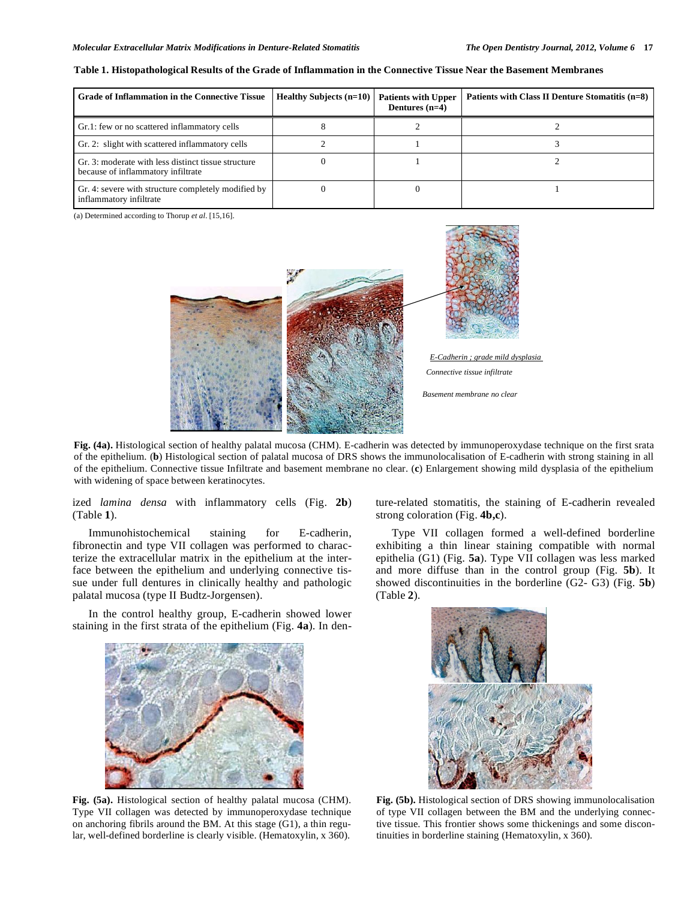| <b>Grade of Inflammation in the Connective Tissue</b>                                     | <b>Healthy Subjects (n=10)</b> | <b>Patients with Upper</b><br>Dentures $(n=4)$ | Patients with Class II Denture Stomatitis (n=8) |
|-------------------------------------------------------------------------------------------|--------------------------------|------------------------------------------------|-------------------------------------------------|
| Gr.1: few or no scattered inflammatory cells                                              |                                |                                                |                                                 |
| Gr. 2: slight with scattered inflammatory cells                                           |                                |                                                |                                                 |
| Gr. 3: moderate with less distinct tissue structure<br>because of inflammatory infiltrate |                                |                                                |                                                 |
| Gr. 4: severe with structure completely modified by<br>inflammatory infiltrate            |                                |                                                |                                                 |

**Table 1. Histopathological Results of the Grade of Inflammation in the Connective Tissue Near the Basement Membranes** 

(a) Determined according to Thorup *et al*. [15,16].



**Fig. (4a).** Histological section of healthy palatal mucosa (CHM). E-cadherin was detected by immunoperoxydase technique on the first srata of the epithelium. (**b**) Histological section of palatal mucosa of DRS shows the immunolocalisation of E-cadherin with strong staining in all of the epithelium. Connective tissue Infiltrate and basement membrane no clear. (**c**) Enlargement showing mild dysplasia of the epithelium with widening of space between keratinocytes.

ized *lamina densa* with inflammatory cells (Fig. **2b**) (Table **1**).

Immunohistochemical staining for E-cadherin, fibronectin and type VII collagen was performed to characterize the extracellular matrix in the epithelium at the interface between the epithelium and underlying connective tissue under full dentures in clinically healthy and pathologic palatal mucosa (type II Budtz-Jorgensen).

In the control healthy group, E-cadherin showed lower staining in the first strata of the epithelium (Fig. **4a**). In den-



**Fig. (5a).** Histological section of healthy palatal mucosa (CHM). Type VII collagen was detected by immunoperoxydase technique on anchoring fibrils around the BM. At this stage (G1), a thin regular, well-defined borderline is clearly visible. (Hematoxylin, x 360).

ture-related stomatitis, the staining of E-cadherin revealed strong coloration (Fig. **4b,c**).

Type VII collagen formed a well-defined borderline exhibiting a thin linear staining compatible with normal epithelia (G1) (Fig. **5a**). Type VII collagen was less marked and more diffuse than in the control group (Fig. **5b**). It showed discontinuities in the borderline (G2- G3) (Fig. **5b**) (Table **2**).



**Fig. (5b).** Histological section of DRS showing immunolocalisation of type VII collagen between the BM and the underlying connective tissue. This frontier shows some thickenings and some discontinuities in borderline staining (Hematoxylin, x 360).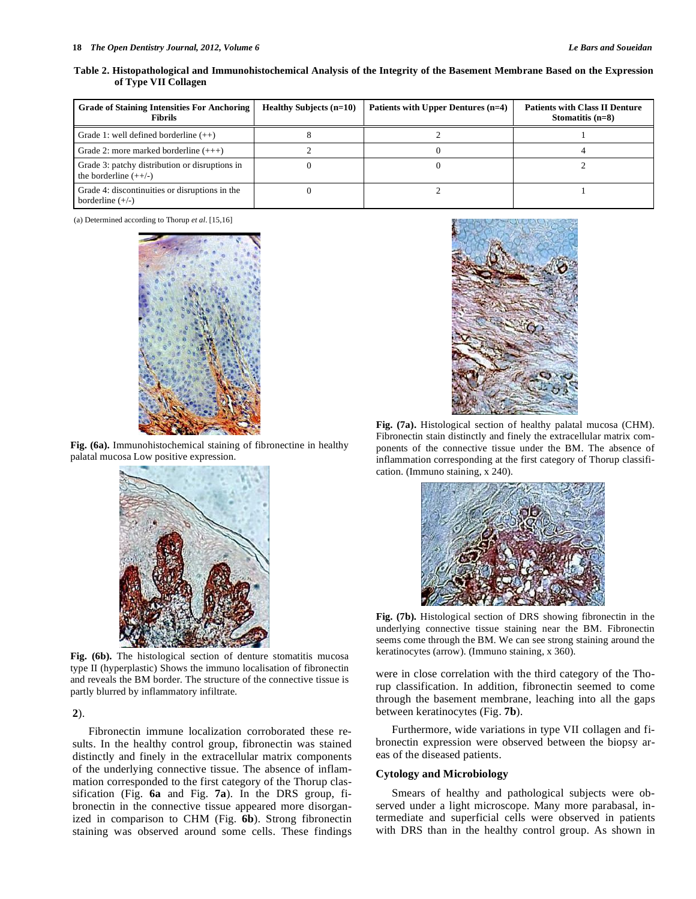| Table 2. Histopathological and Immunohistochemical Analysis of the Integrity of the Basement Membrane Based on the Expression |  |  |
|-------------------------------------------------------------------------------------------------------------------------------|--|--|
| of Type VII Collagen                                                                                                          |  |  |

| <b>Grade of Staining Intensities For Anchoring</b><br><b>Fibrils</b>      | <b>Healthy Subjects (n=10)</b> | Patients with Upper Dentures (n=4) | <b>Patients with Class II Denture</b><br>Stomatitis $(n=8)$ |
|---------------------------------------------------------------------------|--------------------------------|------------------------------------|-------------------------------------------------------------|
| Grade 1: well defined borderline $(++)$                                   |                                |                                    |                                                             |
| Grade 2: more marked borderline $(++)$                                    |                                |                                    |                                                             |
| Grade 3: patchy distribution or disruptions in<br>the borderline $(++/-)$ |                                |                                    |                                                             |
| Grade 4: discontinuities or disruptions in the<br>borderline $(+/-)$      |                                |                                    |                                                             |

(a) Determined according to Thorup *et al*. [15,16]



**Fig. (6a).** Immunohistochemical staining of fibronectine in healthy palatal mucosa Low positive expression.



Fig. (6b). The histological section of denture stomatitis mucosa type II (hyperplastic) Shows the immuno localisation of fibronectin and reveals the BM border. The structure of the connective tissue is partly blurred by inflammatory infiltrate.

**2**).

Fibronectin immune localization corroborated these results. In the healthy control group, fibronectin was stained distinctly and finely in the extracellular matrix components of the underlying connective tissue. The absence of inflammation corresponded to the first category of the Thorup classification (Fig. **6a** and Fig. **7a**). In the DRS group, fibronectin in the connective tissue appeared more disorganized in comparison to CHM (Fig. **6b**). Strong fibronectin staining was observed around some cells. These findings



**Fig. (7a).** Histological section of healthy palatal mucosa (CHM). Fibronectin stain distinctly and finely the extracellular matrix components of the connective tissue under the BM. The absence of inflammation corresponding at the first category of Thorup classification. (Immuno staining, x 240).



**Fig. (7b).** Histological section of DRS showing fibronectin in the underlying connective tissue staining near the BM. Fibronectin seems come through the BM. We can see strong staining around the keratinocytes (arrow). (Immuno staining, x 360).

were in close correlation with the third category of the Thorup classification. In addition, fibronectin seemed to come through the basement membrane, leaching into all the gaps between keratinocytes (Fig. **7b**).

Furthermore, wide variations in type VII collagen and fibronectin expression were observed between the biopsy areas of the diseased patients.

# **Cytology and Microbiology**

Smears of healthy and pathological subjects were observed under a light microscope. Many more parabasal, intermediate and superficial cells were observed in patients with DRS than in the healthy control group. As shown in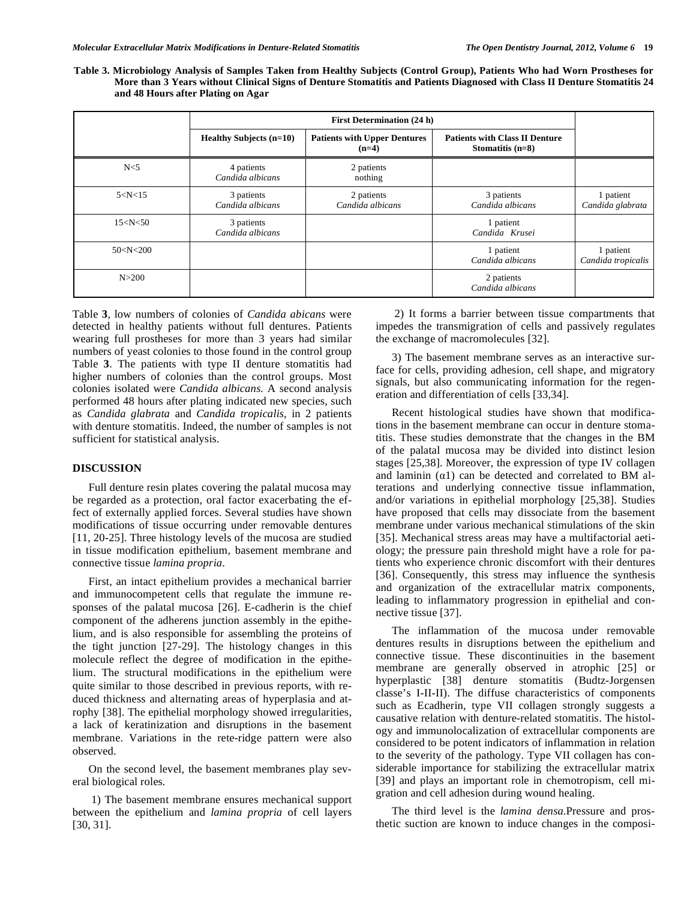**Table 3. Microbiology Analysis of Samples Taken from Healthy Subjects (Control Group), Patients Who had Worn Prostheses for More than 3 Years without Clinical Signs of Denture Stomatitis and Patients Diagnosed with Class II Denture Stomatitis 24 and 48 Hours after Plating on Agar** 

|                | <b>First Determination (24 h)</b> |                                                |                                                             |                                 |
|----------------|-----------------------------------|------------------------------------------------|-------------------------------------------------------------|---------------------------------|
|                | <b>Healthy Subjects (n=10)</b>    | <b>Patients with Upper Dentures</b><br>$(n=4)$ | <b>Patients with Class II Denture</b><br>Stomatitis $(n=8)$ |                                 |
| N <sub>5</sub> | 4 patients<br>Candida albicans    | 2 patients<br>nothing                          |                                                             |                                 |
| 5 < N < 15     | 3 patients<br>Candida albicans    | 2 patients<br>Candida albicans                 | 3 patients<br>Candida albicans                              | 1 patient<br>Candida glabrata   |
| 15 < N < 50    | 3 patients<br>Candida albicans    |                                                | 1 patient<br>Candida Krusei                                 |                                 |
| 50 < N < 200   |                                   |                                                | 1 patient<br>Candida albicans                               | 1 patient<br>Candida tropicalis |
| N > 200        |                                   |                                                | 2 patients<br>Candida albicans                              |                                 |

Table **3**, low numbers of colonies of *Candida abicans* were detected in healthy patients without full dentures. Patients wearing full prostheses for more than 3 years had similar numbers of yeast colonies to those found in the control group Table **3**. The patients with type II denture stomatitis had higher numbers of colonies than the control groups. Most colonies isolated were *Candida albicans.* A second analysis performed 48 hours after plating indicated new species, such as *Candida glabrata* and *Candida tropicalis,* in 2 patients with denture stomatitis. Indeed, the number of samples is not sufficient for statistical analysis.

# **DISCUSSION**

Full denture resin plates covering the palatal mucosa may be regarded as a protection, oral factor exacerbating the effect of externally applied forces. Several studies have shown modifications of tissue occurring under removable dentures [11, 20-25]. Three histology levels of the mucosa are studied in tissue modification epithelium, basement membrane and connective tissue *lamina propria*.

First, an intact epithelium provides a mechanical barrier and immunocompetent cells that regulate the immune responses of the palatal mucosa [26]. E-cadherin is the chief component of the adherens junction assembly in the epithelium, and is also responsible for assembling the proteins of the tight junction [27-29]. The histology changes in this molecule reflect the degree of modification in the epithelium. The structural modifications in the epithelium were quite similar to those described in previous reports, with reduced thickness and alternating areas of hyperplasia and atrophy [38]. The epithelial morphology showed irregularities, a lack of keratinization and disruptions in the basement membrane. Variations in the rete-ridge pattern were also observed.

On the second level, the basement membranes play several biological roles.

 1) The basement membrane ensures mechanical support between the epithelium and *lamina propria* of cell layers [30, 31].

 2) It forms a barrier between tissue compartments that impedes the transmigration of cells and passively regulates the exchange of macromolecules [32].

3) The basement membrane serves as an interactive surface for cells, providing adhesion, cell shape, and migratory signals, but also communicating information for the regeneration and differentiation of cells [33,34].

Recent histological studies have shown that modifications in the basement membrane can occur in denture stomatitis. These studies demonstrate that the changes in the BM of the palatal mucosa may be divided into distinct lesion stages [25,38]. Moreover, the expression of type IV collagen and laminin  $(\alpha 1)$  can be detected and correlated to BM alterations and underlying connective tissue inflammation, and/or variations in epithelial morphology [25,38]. Studies have proposed that cells may dissociate from the basement membrane under various mechanical stimulations of the skin [35]. Mechanical stress areas may have a multifactorial aetiology; the pressure pain threshold might have a role for patients who experience chronic discomfort with their dentures [36]. Consequently, this stress may influence the synthesis and organization of the extracellular matrix components, leading to inflammatory progression in epithelial and connective tissue [37].

The inflammation of the mucosa under removable dentures results in disruptions between the epithelium and connective tissue. These discontinuities in the basement membrane are generally observed in atrophic [25] or hyperplastic [38] denture stomatitis (Budtz-Jorgensen classe's I-II-II). The diffuse characteristics of components such as Ecadherin, type VII collagen strongly suggests a causative relation with denture-related stomatitis. The histology and immunolocalization of extracellular components are considered to be potent indicators of inflammation in relation to the severity of the pathology. Type VII collagen has considerable importance for stabilizing the extracellular matrix [39] and plays an important role in chemotropism, cell migration and cell adhesion during wound healing.

The third level is the *lamina densa.*Pressure and prosthetic suction are known to induce changes in the composi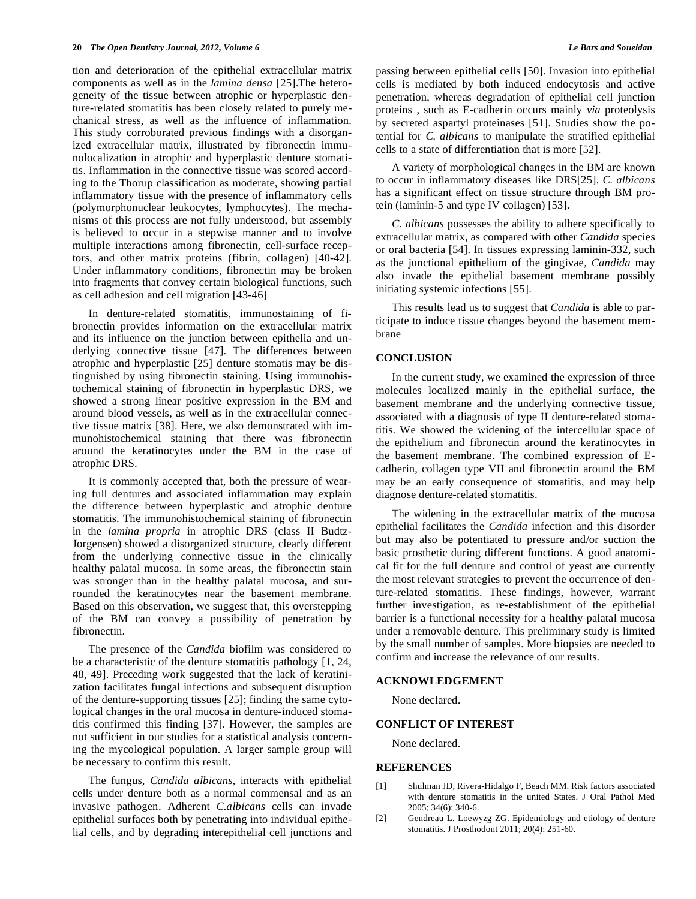tion and deterioration of the epithelial extracellular matrix components as well as in the *lamina densa* [25].The heterogeneity of the tissue between atrophic or hyperplastic denture-related stomatitis has been closely related to purely mechanical stress, as well as the influence of inflammation. This study corroborated previous findings with a disorganized extracellular matrix, illustrated by fibronectin immunolocalization in atrophic and hyperplastic denture stomatitis. Inflammation in the connective tissue was scored according to the Thorup classification as moderate, showing partial inflammatory tissue with the presence of inflammatory cells (polymorphonuclear leukocytes, lymphocytes). The mechanisms of this process are not fully understood, but assembly is believed to occur in a stepwise manner and to involve multiple interactions among fibronectin, cell-surface receptors, and other matrix proteins (fibrin, collagen) [40-42]. Under inflammatory conditions, fibronectin may be broken into fragments that convey certain biological functions, such as cell adhesion and cell migration [43-46]

In denture-related stomatitis, immunostaining of fibronectin provides information on the extracellular matrix and its influence on the junction between epithelia and underlying connective tissue [47]. The differences between atrophic and hyperplastic [25] denture stomatis may be distinguished by using fibronectin staining. Using immunohistochemical staining of fibronectin in hyperplastic DRS, we showed a strong linear positive expression in the BM and around blood vessels, as well as in the extracellular connective tissue matrix [38]. Here, we also demonstrated with immunohistochemical staining that there was fibronectin around the keratinocytes under the BM in the case of atrophic DRS.

It is commonly accepted that, both the pressure of wearing full dentures and associated inflammation may explain the difference between hyperplastic and atrophic denture stomatitis. The immunohistochemical staining of fibronectin in the *lamina propria* in atrophic DRS (class II Budtz-Jorgensen) showed a disorganized structure, clearly different from the underlying connective tissue in the clinically healthy palatal mucosa. In some areas, the fibronectin stain was stronger than in the healthy palatal mucosa, and surrounded the keratinocytes near the basement membrane. Based on this observation, we suggest that, this overstepping of the BM can convey a possibility of penetration by fibronectin.

The presence of the *Candida* biofilm was considered to be a characteristic of the denture stomatitis pathology [1, 24, 48, 49]. Preceding work suggested that the lack of keratinization facilitates fungal infections and subsequent disruption of the denture-supporting tissues [25]; finding the same cytological changes in the oral mucosa in denture-induced stomatitis confirmed this finding [37]. However, the samples are not sufficient in our studies for a statistical analysis concerning the mycological population. A larger sample group will be necessary to confirm this result.

The fungus, *Candida albicans*, interacts with epithelial cells under denture both as a normal commensal and as an invasive pathogen. Adherent *C.albicans* cells can invade epithelial surfaces both by penetrating into individual epithelial cells, and by degrading interepithelial cell junctions and passing between epithelial cells [50]. Invasion into epithelial cells is mediated by both induced endocytosis and active penetration, whereas degradation of epithelial cell junction proteins , such as E-cadherin occurs mainly *via* proteolysis by secreted aspartyl proteinases [51]. Studies show the potential for *C. albicans* to manipulate the stratified epithelial cells to a state of differentiation that is more [52].

A variety of morphological changes in the BM are known to occur in inflammatory diseases like DRS[25]. *C. albicans* has a significant effect on tissue structure through BM protein (laminin-5 and type IV collagen) [53].

*C. albicans* possesses the ability to adhere specifically to extracellular matrix, as compared with other *Candida* species or oral bacteria [54]. In tissues expressing laminin-332, such as the junctional epithelium of the gingivae, *Candida* may also invade the epithelial basement membrane possibly initiating systemic infections [55].

This results lead us to suggest that *Candida* is able to participate to induce tissue changes beyond the basement membrane

## **CONCLUSION**

In the current study, we examined the expression of three molecules localized mainly in the epithelial surface, the basement membrane and the underlying connective tissue, associated with a diagnosis of type II denture-related stomatitis. We showed the widening of the intercellular space of the epithelium and fibronectin around the keratinocytes in the basement membrane. The combined expression of Ecadherin, collagen type VII and fibronectin around the BM may be an early consequence of stomatitis, and may help diagnose denture-related stomatitis.

The widening in the extracellular matrix of the mucosa epithelial facilitates the *Candida* infection and this disorder but may also be potentiated to pressure and/or suction the basic prosthetic during different functions. A good anatomical fit for the full denture and control of yeast are currently the most relevant strategies to prevent the occurrence of denture-related stomatitis. These findings, however, warrant further investigation, as re-establishment of the epithelial barrier is a functional necessity for a healthy palatal mucosa under a removable denture. This preliminary study is limited by the small number of samples. More biopsies are needed to confirm and increase the relevance of our results.

# **ACKNOWLEDGEMENT**

None declared.

#### **CONFLICT OF INTEREST**

None declared.

#### **REFERENCES**

- [1] Shulman JD, Rivera-Hidalgo F, Beach MM. Risk factors associated with denture stomatitis in the united States. J Oral Pathol Med 2005; 34(6): 340-6.
- [2] Gendreau L. Loewyzg ZG. Epidemiology and etiology of denture stomatitis. J Prosthodont 2011; 20(4): 251-60.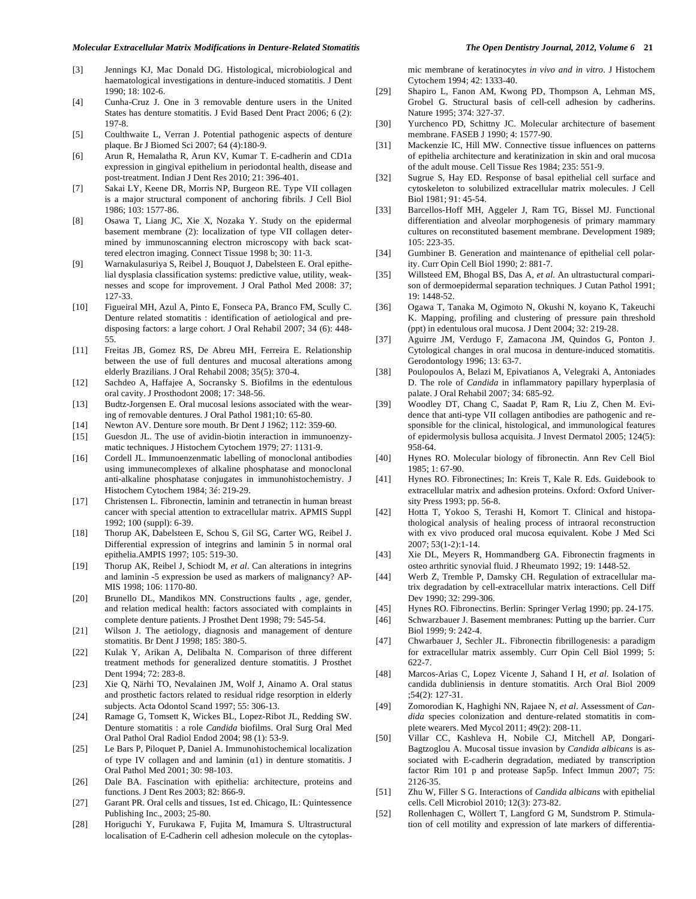#### *Molecular Extracellular Matrix Modifications in Denture-Related Stomatitis The Open Dentistry Journal, 2012, Volume 6* **21**

- [3] Jennings KJ, Mac Donald DG. Histological, microbiological and haematological investigations in denture-induced stomatitis. J Dent 1990; 18: 102-6.
- [4] Cunha-Cruz J. One in 3 removable denture users in the United States has denture stomatitis. J Evid Based Dent Pract 2006; 6 (2): 197-8.
- [5] Coulthwaite L, Verran J. Potential pathogenic aspects of denture plaque. Br J Biomed Sci 2007; 64 (4):180-9.
- [6] Arun R, Hemalatha R, Arun KV, Kumar T. E-cadherin and CD1a expression in gingival epithelium in periodontal health, disease and post-treatment. Indian J Dent Res 2010; 21: 396-401.
- [7] Sakai LY, Keene DR, Morris NP, Burgeon RE. Type VII collagen is a major structural component of anchoring fibrils. J Cell Biol 1986; 103: 1577-86.
- [8] Osawa T, Liang JC, Xie X, Nozaka Y. Study on the epidermal basement membrane (2): localization of type VII collagen determined by immunoscanning electron microscopy with back scattered electron imaging. Connect Tissue 1998 b; 30: 11-3.
- [9] Warnakulasuriya S, Reibel J, Bouquot J, Dabelsteen E. Oral epithelial dysplasia classification systems: predictive value, utility, weaknesses and scope for improvement. J Oral Pathol Med 2008: 37; 127-33.
- [10] Figueiral MH, Azul A, Pinto E, Fonseca PA, Branco FM, Scully C. Denture related stomatitis : identification of aetiological and predisposing factors: a large cohort. J Oral Rehabil 2007; 34 (6): 448- 55.
- [11] Freitas JB, Gomez RS, De Abreu MH, Ferreira E. Relationship between the use of full dentures and mucosal alterations among elderly Brazilians. J Oral Rehabil 2008; 35(5): 370-4.
- [12] Sachdeo A, Haffajee A, Socransky S. Biofilms in the edentulous oral cavity. J Prosthodont 2008; 17: 348-56.
- [13] Budtz-Jorgensen E. Oral mucosal lesions associated with the wearing of removable dentures. J Oral Pathol 1981;10: 65-80.
- [14] Newton AV. Denture sore mouth. Br Dent J 1962; 112: 359-60.
- [15] Guesdon JL. The use of avidin-biotin interaction in immunoenzymatic techniques. J Histochem Cytochem 1979; 27: 1131-9.
- [16] Cordell JL. Immunoenzenmatic labelling of monoclonal antibodies using immunecomplexes of alkaline phosphatase and monoclonal anti-alkaline phosphatase conjugates in immunohistochemistry. J Histochem Cytochem 1984; 3é: 219-29.
- [17] Christensen L. Fibronectin, laminin and tetranectin in human breast cancer with special attention to extracellular matrix. APMIS Suppl 1992; 100 (suppl): 6-39.
- [18] Thorup AK, Dabelsteen E, Schou S, Gil SG, Carter WG, Reibel J. Differential expression of integrins and laminin 5 in normal oral epithelia.AMPIS 1997; 105: 519-30.
- [19] Thorup AK, Reibel J, Schiodt M, *et al*. Can alterations in integrins and laminin -5 expression be used as markers of malignancy? AP-MIS 1998; 106: 1170-80.
- [20] Brunello DL, Mandikos MN. Constructions faults , age, gender, and relation medical health: factors associated with complaints in complete denture patients. J Prosthet Dent 1998; 79: 545-54.
- [21] Wilson J. The aetiology, diagnosis and management of denture stomatitis. Br Dent J 1998; 185: 380-5.
- [22] Kulak Y, Arikan A, Delibalta N. Comparison of three different treatment methods for generalized denture stomatitis. J Prosthet Dent 1994; 72: 283-8.
- [23] Xie Q, Närhi TO, Nevalainen JM, Wolf J, Ainamo A. Oral status and prosthetic factors related to residual ridge resorption in elderly subjects. Acta Odontol Scand 1997; 55: 306-13.
- [24] Ramage G, Tomsett K, Wickes BL, Lopez-Ribot JL, Redding SW. Denture stomatitis : a role *Candida* biofilms. Oral Surg Oral Med Oral Pathol Oral Radiol Endod 2004; 98 (1): 53-9.
- [25] Le Bars P*,* Piloquet P, Daniel A. Immunohistochemical localization of type IV collagen and and laminin  $(\alpha 1)$  in denture stomatitis. J Oral Pathol Med 2001; 30: 98-103.
- [26] Dale BA. Fascination with epithelia: architecture, proteins and functions. J Dent Res 2003; 82: 866-9.
- [27] Garant PR. Oral cells and tissues, 1st ed. Chicago, IL: Quintessence Publishing Inc., 2003; 25-80.
- [28] Horiguchi Y, Furukawa F, Fujita M, Imamura S. Ultrastructural localisation of E-Cadherin cell adhesion molecule on the cytoplas-

mic membrane of keratinocytes *in vivo and in vitro*. J Histochem Cytochem 1994; 42: 1333-40.

- [29] Shapiro L, Fanon AM, Kwong PD, Thompson A, Lehman MS, Grobel G. Structural basis of cell-cell adhesion by cadherins. Nature 1995; 374: 327-37.
- [30] Yurchenco PD, Schittny JC. Molecular architecture of basement membrane. FASEB J 1990; 4: 1577-90.
- [31] Mackenzie IC, Hill MW. Connective tissue influences on patterns of epithelia architecture and keratinization in skin and oral mucosa of the adult mouse. Cell Tissue Res 1984; 235: 551-9.
- [32] Sugrue S, Hay ED. Response of basal epithelial cell surface and cytoskeleton to solubilized extracellular matrix molecules. J Cell Biol 1981; 91: 45-54.
- [33] Barcellos-Hoff MH, Aggeler J, Ram TG, Bissel MJ. Functional differentiation and alveolar morphogenesis of primary mammary cultures on reconstituted basement membrane. Development 1989; 105: 223-35.
- [34] Gumbiner B. Generation and maintenance of epithelial cell polarity. Curr Opin Cell Biol 1990; 2: 881-7.
- [35] Willsteed EM, Bhogal BS, Das A, *et al*. An ultrastuctural comparison of dermoepidermal separation techniques. J Cutan Pathol 1991; 19: 1448-52.
- [36] Ogawa T, Tanaka M, Ogimoto N, Okushi N, koyano K, Takeuchi K. Mapping, profiling and clustering of pressure pain threshold (ppt) in edentulous oral mucosa. J Dent 2004; 32: 219-28.
- [37] Aguirre JM, Verdugo F, Zamacona JM, Quindos G, Ponton J. Cytological changes in oral mucosa in denture-induced stomatitis. Gerodontology 1996; 13: 63-7.
- [38] Poulopoulos A, Belazi M, Epivatianos A, Velegraki A, Antoniades D. The role of *Candida* in inflammatory papillary hyperplasia of palate. J Oral Rehabil 2007; 34: 685-92.
- [39] Woodley DT, Chang C, Saadat P, Ram R, Liu Z, Chen M. Evidence that anti-type VII collagen antibodies are pathogenic and responsible for the clinical, histological, and immunological features of epidermolysis bullosa acquisita. J Invest Dermatol 2005; 124(5): 958-64.
- [40] Hynes RO. Molecular biology of fibronectin. Ann Rev Cell Biol 1985; 1: 67-90.
- [41] Hynes RO. Fibronectines; In: Kreis T, Kale R. Eds. Guidebook to extracellular matrix and adhesion proteins. Oxford: Oxford University Press 1993; pp. 56-8.
- [42] Hotta T, Yokoo S, Terashi H, Komort T. Clinical and histopathological analysis of healing process of intraoral reconstruction with ex vivo produced oral mucosa equivalent. Kobe J Med Sci 2007; 53(1-2):1-14.
- [43] Xie DL, Meyers R, Hommandberg GA. Fibronectin fragments in osteo arthritic synovial fluid. J Rheumato 1992; 19: 1448-52.
- [44] Werb Z, Tremble P, Damsky CH. Regulation of extracellular matrix degradation by cell-extracellular matrix interactions. Cell Diff Dev 1990; 32: 299-306.
- [45] Hynes RO. Fibronectins. Berlin: Springer Verlag 1990; pp. 24-175.
- [46] Schwarzbauer J. Basement membranes: Putting up the barrier. Curr Biol 1999; 9: 242-4.
- [47] Chwarbauer J, Sechler JL. Fibronectin fibrillogenesis: a paradigm for extracellular matrix assembly. Curr Opin Cell Biol 1999; 5: 622-7.
- [48] Marcos-Arias C, Lopez Vicente J, Sahand I H, *et al*. Isolation of candida dubliniensis in denture stomatitis. Arch Oral Biol 2009 ;54(2): 127-31.
- [49] Zomorodian K, Haghighi NN, Rajaee N, *et al*. Assessment of *Candida* species colonization and denture-related stomatitis in complete wearers. Med Mycol 2011; 49(2): 208-11.
- [50] Villar CC, Kashleva H, Nobile CJ, Mitchell AP, Dongari-Bagtzoglou A. Mucosal tissue invasion by *Candida albicans* is associated with E-cadherin degradation, mediated by transcription factor Rim 101 p and protease Sap5p. Infect Immun 2007; 75: 2126-35.
- [51] Zhu W, Filler S G. Interactions of *Candida albicans* with epithelial cells. Cell Microbiol 2010; 12(3): 273-82.
- [52] Rollenhagen C, Wöllert T, Langford G M, Sundstrom P. Stimulation of cell motility and expression of late markers of differentia-